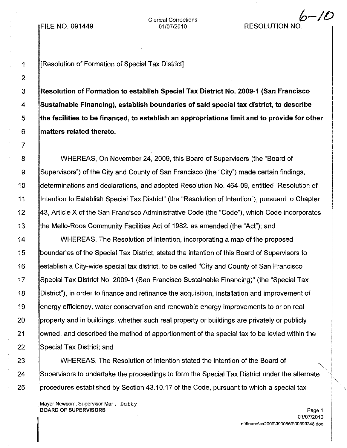Clerical Corrections 01/07/2010

## **RESOLUTION NO**

*6-10*

1 **IF INTER** Internation of Special Tax District

 Resolution of Formation to establish Special Tax District No. 2009-1 (San Francisco Sustainable Financing), establish boundaries of said special tax district, to describe 5 the facilities to be financed, to establish an appropriations limit and to provide for other **matters related thereto.** 

WHEREAS, On November 24, 2009, this Board of Supervisors (the "Board of Supervisors") of the City and County of San Francisco (the "City") made certain findings, determinations and declarations, and adopted Resolution No. 464-09, entitled "Resolution of Intention to Establish Special Tax District" (the "Resolution of Intention"), pursuant to Chapter 43, Article X of the San Francisco Administrative Code (the "Code"), which Code incorporates the Mello-Roos Community Facilities Act of 1982, as amended (the "Act"); and

WHEREAS, The Resolution of Intention, incorporating a map of the proposed boundaries of the Special Tax District, stated the intention of this Board of Supervisors to establish a City-wide special tax district, to be called "City and County of San Francisco Special Tax District No. 2009-1 (San Francisco Sustainable Financing)" (the "Special Tax District"), in order to finance and refinance the acquisition, installation and improvement of energy efficiency, water conservation and renewable energy improvements to or on real property and in buildings, whether such real property or buildings are privately or publicly owned, and described the method of apportionment of the special tax to be levied within the Special Tax District; and

WHEREAS, The Resolution of Intention stated the intention of the Board of "'-.. Supervisors to undertake the proceedings to form the Special Tax District under the alternate procedures established by Section 43.10.17 of the Code, pursuant to which a special tax

Mayor Newsom, Supervisor Mar, Dufty BOARD OF SUPERVISORS Page 1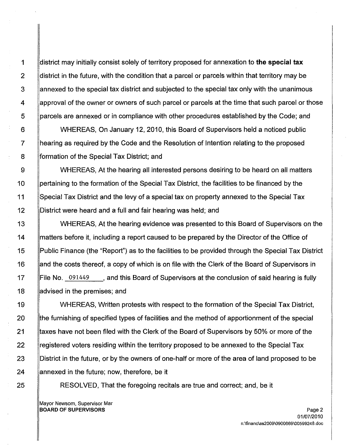1 district may initially consist solely of territory proposed for annexation to **the special tax** 2 district in the future, with the condition that a parcel or parcels within that territory may be 3 annexed to the special tax district and subjected to the special tax only with the unanimous 4 approval of the owner or owners of such parcel or parcels at the time that such parcel or those 5 parcels are annexed or in compliance with other procedures established by the Code; and

6 WHEREAS, On January 12, 2010, this Board of Supervisors held a noticed public 7 hearing as required by the Code and the Resolution of Intention relating to the proposed 8 **formation of the Special Tax District; and** 

9 WHEREAS, At the hearing all interested persons desiring to be heard on all matters 10 pertaining to the formation of the Special Tax District, the facilities to be financed by the 11 Special Tax District and the levy of a special tax on property annexed to the Special Tax 12 District were heard and a full and fair hearing was held; and

13 **WHEREAS, At the hearing evidence was presented to this Board of Supervisors on the** 14 matters before it, including a report caused to be prepared by the Director of the Office of 15 Public Finance (the "Report") as to the facilities to be provided through the Special Tax District 16 and the costs thereof, a copy of which is on file with the Clerk of the Board of Supervisors in 17 **File No.** 091449, and this Board of Supervisors at the conclusion of said hearing is fully 18 **advised in the premises; and** 

19 **WHEREAS, Written protests with respect to the formation of the Special Tax District,** 20 Ithe furnishing of specified types of facilities and the method of apportionment of the special 21 thaxes have not been filed with the Clerk of the Board of Supervisors by 50% or more of the 22 linegistered voters residing within the territory proposed to be annexed to the Special Tax 23 **District in the future, or by the owners of one-half or more of the area of land proposed to be** 24 annexed in the future; now, therefore, be it

25 **RESOLVED, That the foregoing recitals are true and correct; and, be it** 

Mayor Newsom, Supervisor Mar **BOARD OF SUPERVISORS** Page 2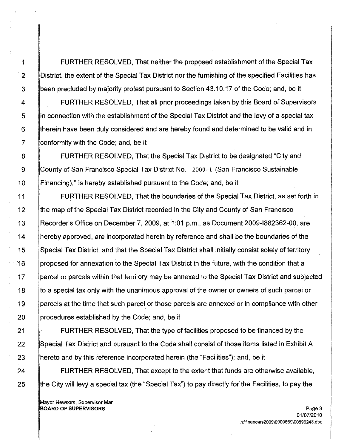1 FURTHER RESOLVED, That neither the proposed establishment of the Special Tax 2 **District, the extent of the Special Tax District nor the furnishing of the specified Facilities has** 3 been precluded by majority protest pursuant to Section 43.10.17 of the Code; and, be it

4 FURTHER RESOLVED, That all prior proceedings taken by this Board of Supervisors 5 | in connection with the establishment of the Special Tax District and the levy of a special tax 6 **I** Itherein have been duly considered and are hereby found and determined to be valid and in 7 Conformity with the Code; and, be it

8 **FURTHER RESOLVED.** That the Special Tax District to be designated "City and 9 County of San Francisco Special Tax District No. 2009-1 (San Francisco Sustainable 10 Financing)," is hereby established pursuant to the Code; and, be it

11 | FURTHER RESOLVED, That the boundaries of the Special Tax District, as set forth in 12 the map of the Special Tax District recorded in the City and County of San Francisco 13 Recorder's Office on December 7, 2009, at 1:01 p.m., as Document 2009-1882362-00, are 14 hereby approved, are incorporated herein by reference and shall be the boundaries of the 15 Special Tax District, and that the Special Tax District shall initially consist solely of territory 16 proposed for annexation to the Special Tax District in the future, with the condition that a 17 **parcel or parcels within that territory may be annexed to the Special Tax District and subjected** 18 b to a special tax only with the unanimous approval of the owner or owners of such parcel or 19 **parcels at the time that such parcel or those parcels are annexed or in compliance with other** 20 procedures established by the Code; and, be it

21 FURTHER RESOLVED, That the type of facilities proposed to be financed by the 22 Special Tax District and pursuant to the Code shall consist of those items listed in Exhibit A 23 hereto and by this reference incorporated herein (the "Facilities"); and, be it

24 **FURTHER RESOLVED, That except to the extent that funds are otherwise available,** 25 the City will levy a special tax (the "Special Tax") to pay directly for the Facilities, to pay the

Mayor Newsom, Supervisor Mar **BOARD OF SUPERVISORS** Page 3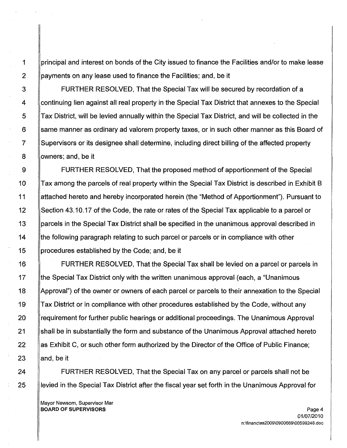1 principal and interest on bonds of the City issued to finance the Facilities and/or to make lease 2 | payments on any lease used to finance the Facilities; and, be it

3 FURTHER RESOLVED, That the Special Tax will be secured by recordation of a 4 continuing lien against all real property in the Special Tax District that annexes to the Special 5 Tax District, will be levied annually within the Special Tax District, and will be collected in the 6 same manner as ordinary ad valorem property taxes, or in such other manner as this Board of 7 Supervisors or its designee shall determine, including direct billing of the affected property 8 **Nowners**; and, be it

9 FURTHER RESOLVED, That the proposed method of apportionment of the Special 10 Tax among the parcels of real property within the Special Tax District is described in Exhibit B 11 attached hereto and hereby incorporated herein (the "Method of Apportionment"). Pursuant to 12 Section 43.10.17 of the Code, the rate or rates of the Special Tax applicable to a parcel or 13 parcels in the Special Tax District shall be specified in the unanimous approval described in 14 **the following paragraph relating to such parcel or parcels or in compliance with other** 15 procedures established by the Code; and, be it

16 FURTHER RESOLVED, That the Special Tax shall be levied on a parcel or parcels in 17 Ithe Special Tax District only with the written unanimous approval (each, a "Unanimous" 18 Approval") of the owner or owners of each parcel or parcels to their annexation to the Special 19 Tax District or in compliance with other procedures established by the Code, without any 20 **Frequirement for further public hearings or additional proceedings. The Unanimous Approval** 21 Shall be in substantially the form and substance of the Unanimous Approval attached hereto 22 As Exhibit C, or such other form authorized by the Director of the Office of Public Finance; 23  $\parallel$  and, be it

24 **FURTHER RESOLVED, That the Special Tax on any parcel or parcels shall not be** 25 **levied in the Special Tax District after the fiscal year set forth in the Unanimous Approval for** 

Mayor Newsom, Supervisor Mar BOARD OF SUPERVISORS And the state of the state of the state of the state of the state of the state of the state of the state of the state of the state of the state of the state of the state of the state of the state of th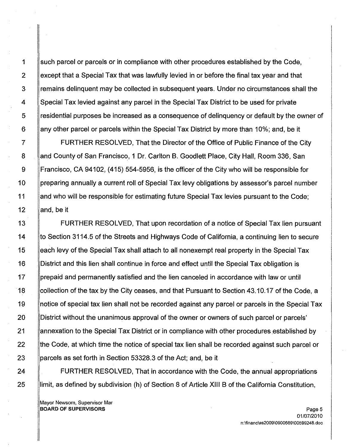1 such parcel or parcels or in compliance with other procedures established by the Code, 2 except that a Special Tax that was lawfully levied in or before the final tax year and that 3 Femains delinquent may be collected in subsequent years. Under no circumstances shall the 4 Special Tax levied against any parcel in the Special Tax District to be used for private 5 residential purposes be increased as a consequence of delinquency or default by the owner of 6 any other parcel or parcels within the Special Tax District by more than 10%; and, be it

7 FURTHER RESOLVED, That the Director of the Office of Public Finance of the City 8 and County of San Francisco, 1 Dr. Carlton B. Goodlett Place, City Hall, Room 336, San 9 Francisco, CA 94102, (415) 554-5956, is the officer of the City who will be responsible for 10 preparing annually a current roll of Special Tax levy obligations by assessor's parcel number 11 and who will be responsible for estimating future Special Tax levies pursuant to the Code; 12  $\parallel$  and, be it

13 FURTHER RESOLVED, That upon recordation of a notice of Special Tax lien pursuant 14 **the Section 3114.5 of the Streets and Highways Code of California, a continuing lien to secure** 15 each levy of the Special Tax shall attach to all nonexempt real property in the Special Tax 16 District and this lien shall continue in force and effect until the Special Tax obligation is 17 **prepaid and permanently satisfied and the lien canceled in accordance with law or until** 18 collection of the tax by the City ceases, and that Pursuant to Section 43.10.17 of the Code, a 19 | notice of special tax lien shall not be recorded against any parcel or parcels in the Special Tax 20 District without the unanimous approval of the owner or owners of such parcel or parcels' 21 annexation to the Special Tax District or in compliance with other procedures established by 22 the Code, at which time the notice of special tax lien shall be recorded against such parcel or 23 parcels as set forth in Section 53328.3 of the Act; and, be it

24 **FURTHER RESOLVED, That in accordance with the Code, the annual appropriations** 25 | ilimit, as defined by subdivision (h) of Section 8 of Article XIII B of the California Constitution,

Mayor Newsom, Supervisor Mar **BOARD OF SUPERVISORS** Page 5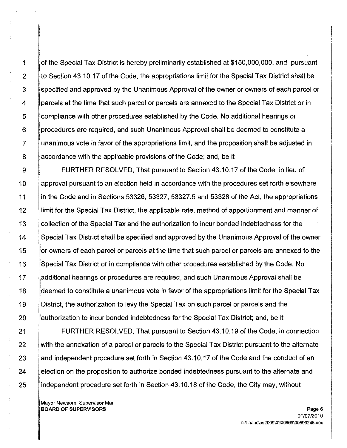1 **of the Special Tax District is hereby preliminarily established at \$150,000,000, and pursuant** 2  $\parallel$  to Section 43.10.17 of the Code, the appropriations limit for the Special Tax District shall be 3 specified and approved by the Unanimous Approval of the owner or owners of each parcel or 4 | parcels at the time that such parcel or parcels are annexed to the Special Tax District or in 5 compliance with other procedures established by the Code. No additional hearings or 6 **procedures are required, and such Unanimous Approval shall be deemed to constitute a** 7 unanimous vote in favor of the appropriations limit, and the proposition shall be adjusted in 8 Accordance with the applicable provisions of the Code; and, be it

9 FURTHER RESOLVED, That pursuant to Section 43.10.17 of the Code, in lieu of 10 approval pursuant to an election held in accordance with the procedures set forth elsewhere 11 lin the Code and in Sections 53326, 53327, 53327.5 and 53328 of the Act, the appropriations 12 limit for the Special Tax District, the applicable rate, method of apportionment and manner of 13 Collection of the Special Tax and the authorization to incur bonded indebtedness for the 14 Special Tax District shall be specified and approved by the Unanimous Approval of the owner 15 or owners of each parcel or parcels at the time that such parcel or parcels are annexed to the 16 Special Tax District or in compliance with other procedures established by the Code. No 17 **additional hearings or procedures are required, and such Unanimous Approval shall be** 18 deemed to constitute a unanimous vote in favor of the appropriations limit for the Special Tax 19 District, the authorization to levy the Special Tax on such parcel or parcels and the 20 authorization to incur bonded indebtedness for the Special Tax District; and, be it

21 FURTHER RESOLVED, That pursuant to Section 43.10.19 of the Code, in connection 22 with the annexation of a parcel or parcels to the Special Tax District pursuant to the alternate 23 And independent procedure set forth in Section 43.10.17 of the Code and the conduct of an 24 election on the proposition to authorize bonded indebtedness pursuant to the alternate and 25 independent procedure set forth in Section 43.10.18 of the Code, the City may, without

Mayor Newsom, Supervisor Mar BOARD OF SUPERVISORS AND RESERVED FOR A SERIES AND RESERVED FOR A SERIES OF SUPERVISORS AND RESERVED FOR A SERIES OF SUPERVISORS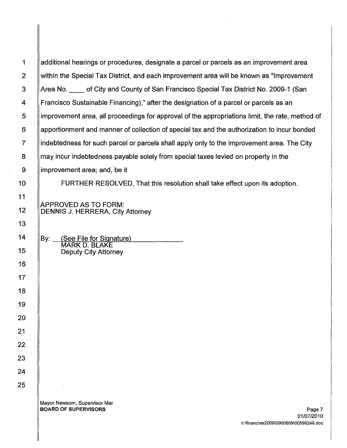1 additional hearings or procedures, designate a parcel or parcels as an improvement area 2 within the Special Tax District, and each improvement area will be known as "Improvement 3 Area No. of City and County of San Francisco Special Tax District No. 2009-1 (San 4 Francisco Sustainable Financing)," after the designation of a parcel or parcels as an 5 | improvement area, all proceedings for approval of the appropriations limit, the rate, method of 6 apportionment and manner of collection of special tax and the authorization to incur bonded 7 indebtedness for such parcel or parcels shall apply only to the improvement area. The City 8 may incur indebtedness payable solely from special taxes levied on property in the 9 improvement area; and, be it

10 FURTHER RESOLVED, That this resolution shall take effect upon its adoption.

APPROVED AS TO FORM: 12 | DENNIS J. HERRERA, City Attorney

14  $\parallel$  By: (See File for Signature) MARK D. BLAKE 15 Deputy City Attorney

> Mayor Newsom. Supervisor Mar BOARD OF SUPERVISORS Page 7